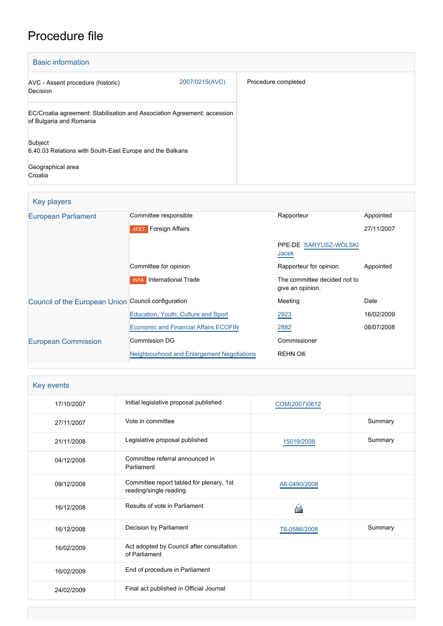# Procedure file

| <b>Basic information</b>                                                                            |                |                     |
|-----------------------------------------------------------------------------------------------------|----------------|---------------------|
| AVC - Assent procedure (historic)<br>Decision                                                       | 2007/0215(AVC) | Procedure completed |
| EC/Croatia agreement: Stabilisation and Association Agreement; accession<br>of Bulgaria and Romania |                |                     |
| Subject<br>6.40.03 Relations with South-East Europe and the Balkans<br>Geographical area<br>Croatia |                |                     |

# Key players

| <b>European Parliament</b>                          | Committee responsible                        | Rapporteur                                       | Appointed  |
|-----------------------------------------------------|----------------------------------------------|--------------------------------------------------|------------|
|                                                     | <b>AFET</b> Foreign Affairs                  |                                                  | 27/11/2007 |
|                                                     |                                              | PPE-DE SARYUSZ-WOLSKI<br>Jacek                   |            |
|                                                     | Committee for opinion                        | Rapporteur for opinion                           | Appointed  |
|                                                     | International Trade<br><b>INTA</b>           | The committee decided not to<br>give an opinion. |            |
| Council of the European Union Council configuration |                                              | Meeting                                          | Date       |
|                                                     | Education, Youth, Culture and Sport          | 2923                                             | 16/02/2009 |
|                                                     | <b>Economic and Financial Affairs ECOFIN</b> | 2882                                             | 08/07/2008 |
| <b>European Commission</b>                          | Commission DG                                | Commissioner                                     |            |
|                                                     | Neighbourhood and Enlargement Negotiations   | <b>REHN Olli</b>                                 |            |

| Key events |                                                                    |               |         |
|------------|--------------------------------------------------------------------|---------------|---------|
| 17/10/2007 | Initial legislative proposal published                             | COM(2007)0612 |         |
| 27/11/2007 | Vote in committee                                                  |               | Summary |
| 21/11/2008 | Legislative proposal published                                     | 15019/2008    | Summary |
| 04/12/2008 | Committee referral announced in<br>Parliament                      |               |         |
| 09/12/2008 | Committee report tabled for plenary, 1st<br>reading/single reading | A6-0490/2008  |         |
| 16/12/2008 | Results of vote in Parliament                                      |               |         |
| 16/12/2008 | Decision by Parliament                                             | T6-0586/2008  | Summary |
| 16/02/2009 | Act adopted by Council after consultation<br>of Parliament         |               |         |
| 16/02/2009 | End of procedure in Parliament                                     |               |         |
| 24/02/2009 | Final act published in Official Journal                            |               |         |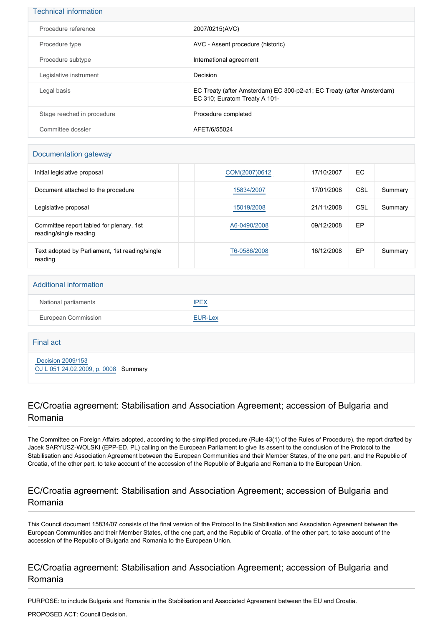| <b>Technical information</b> |                                                                                                        |
|------------------------------|--------------------------------------------------------------------------------------------------------|
| Procedure reference          | 2007/0215(AVC)                                                                                         |
| Procedure type               | AVC - Assent procedure (historic)                                                                      |
| Procedure subtype            | International agreement                                                                                |
| Legislative instrument       | Decision                                                                                               |
| Legal basis                  | EC Treaty (after Amsterdam) EC 300-p2-a1; EC Treaty (after Amsterdam)<br>EC 310; Euratom Treaty A 101- |
| Stage reached in procedure   | Procedure completed                                                                                    |
| Committee dossier            | AFET/6/55024                                                                                           |

#### Documentation gateway

| Initial legislative proposal                                       | COM(2007)0612 | 17/10/2007 | EC. |         |
|--------------------------------------------------------------------|---------------|------------|-----|---------|
| Document attached to the procedure                                 | 15834/2007    | 17/01/2008 | CSL | Summary |
| Legislative proposal                                               | 15019/2008    | 21/11/2008 | CSL | Summary |
| Committee report tabled for plenary, 1st<br>reading/single reading | A6-0490/2008  | 09/12/2008 | EP  |         |
| Text adopted by Parliament, 1st reading/single<br>reading          | T6-0586/2008  | 16/12/2008 | EP  | Summary |

#### Additional information

| National parliaments | <b>IPEX</b> |
|----------------------|-------------|
| European Commission  | EUR-Lex     |

Final act

 [Decision 2009/153](https://eur-lex.europa.eu/smartapi/cgi/sga_doc?smartapi!celexplus!prod!CELEXnumdoc&lg=EN&numdoc=32009D0153) [OJ L 051 24.02.2009, p. 0008](https://eur-lex.europa.eu/legal-content/EN/TXT/?uri=OJ:L:2009:051:TOC) Summary

## EC/Croatia agreement: Stabilisation and Association Agreement; accession of Bulgaria and Romania

The Committee on Foreign Affairs adopted, according to the simplified procedure (Rule 43(1) of the Rules of Procedure), the report drafted by Jacek SARYUSZ-WOLSKI (EPP-ED, PL) calling on the European Parliament to give its assent to the conclusion of the Protocol to the Stabilisation and Association Agreement between the European Communities and their Member States, of the one part, and the Republic of Croatia, of the other part, to take account of the accession of the Republic of Bulgaria and Romania to the European Union.

#### EC/Croatia agreement: Stabilisation and Association Agreement; accession of Bulgaria and Romania

This Council document 15834/07 consists of the final version of the Protocol to the Stabilisation and Association Agreement between the European Communities and their Member States, of the one part, and the Republic of Croatia, of the other part, to take account of the accession of the Republic of Bulgaria and Romania to the European Union.

#### EC/Croatia agreement: Stabilisation and Association Agreement; accession of Bulgaria and Romania

PURPOSE: to include Bulgaria and Romania in the Stabilisation and Associated Agreement between the EU and Croatia.

PROPOSED ACT: Council Decision.